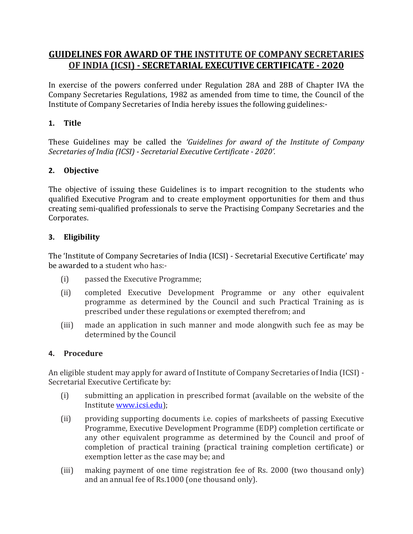# **GUIDELINES FOR AWARD OF THE INSTITUTE OF COMPANY SECRETARIES OF INDIA (ICSI) - SECRETARIAL EXECUTIVE CERTIFICATE - 2020**

In exercise of the powers conferred under Regulation 28A and 28B of Chapter IVA the Company Secretaries Regulations, 1982 as amended from time to time, the Council of the Institute of Company Secretaries of India hereby issues the following guidelines:-

# **1. Title**

These Guidelines may be called the *'Guidelines for award of the Institute of Company Secretaries of India (ICSI) - Secretarial Executive Certificate - 2020'.*

# **2. Objective**

The objective of issuing these Guidelines is to impart recognition to the students who qualified Executive Program and to create employment opportunities for them and thus creating semi-qualified professionals to serve the Practising Company Secretaries and the Corporates.

## **3. Eligibility**

The 'Institute of Company Secretaries of India (ICSI) - Secretarial Executive Certificate' may be awarded to a student who has:-

- (i) passed the Executive Programme;
- (ii) completed Executive Development Programme or any other equivalent programme as determined by the Council and such Practical Training as is prescribed under these regulations or exempted therefrom; and
- (iii) made an application in such manner and mode alongwith such fee as may be determined by the Council

#### **4. Procedure**

An eligible student may apply for award of Institute of Company Secretaries of India (ICSI) - Secretarial Executive Certificate by:

- (i) submitting an application in prescribed format (available on the website of the Institute [www.icsi.edu\)](http://www.icsi.edu/);
- (ii) providing supporting documents i.e. copies of marksheets of passing Executive Programme, Executive Development Programme (EDP) completion certificate or any other equivalent programme as determined by the Council and proof of completion of practical training (practical training completion certificate) or exemption letter as the case may be; and
- (iii) making payment of one time registration fee of Rs. 2000 (two thousand only) and an annual fee of Rs.1000 (one thousand only).